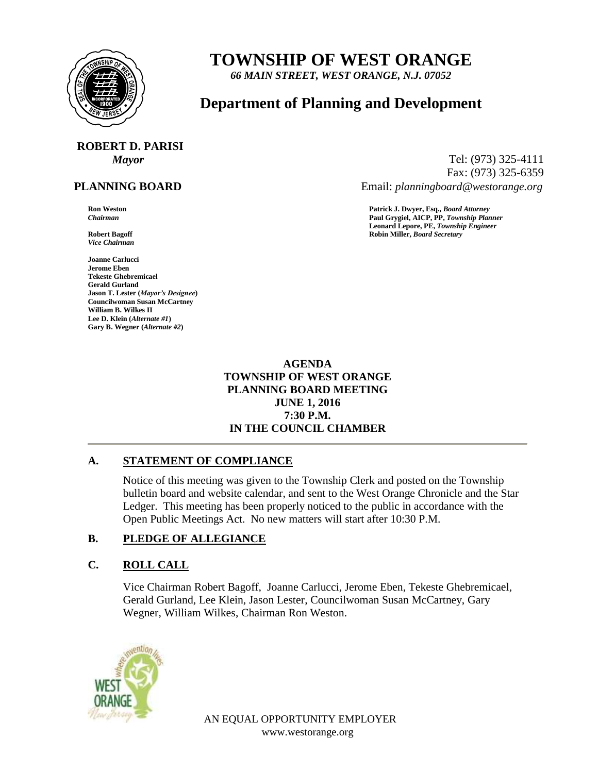

# **TOWNSHIP OF WEST ORANGE**

*66 MAIN STREET, WEST ORANGE, N.J. 07052*

## **Department of Planning and Development**

# **ROBERT D. PARISI**

#### **PLANNING BOARD**

*Vice Chairman*

**Joanne Carlucci Jerome Eben Tekeste Ghebremicael Gerald Gurland Jason T. Lester (***Mayor's Designee***) Councilwoman Susan McCartney William B. Wilkes II Lee D. Klein (***Alternate #1***) Gary B. Wegner (***Alternate #2***)**

*Mayor* Tel: (973) 325-4111 Fax: (973) 325-6359 Email: *planningboard@westorange.org*

**Ron Weston Patrick J. Dwyer, Esq.,** *Board Attorney Chairman* **Paul Grygiel, AICP, PP,** *Township Planner* **Leonard Lepore, PE,** *Township Engineer* **Robert Bagoff Robin Miller,** *Board Secretary*

> **AGENDA TOWNSHIP OF WEST ORANGE PLANNING BOARD MEETING JUNE 1, 2016 7:30 P.M. IN THE COUNCIL CHAMBER**

#### **A. STATEMENT OF COMPLIANCE**

Notice of this meeting was given to the Township Clerk and posted on the Township bulletin board and website calendar, and sent to the West Orange Chronicle and the Star Ledger. This meeting has been properly noticed to the public in accordance with the Open Public Meetings Act. No new matters will start after 10:30 P.M.

#### **B. PLEDGE OF ALLEGIANCE**

#### **C. ROLL CALL**

Vice Chairman Robert Bagoff, Joanne Carlucci, Jerome Eben, Tekeste Ghebremicael, Gerald Gurland, Lee Klein, Jason Lester, Councilwoman Susan McCartney, Gary Wegner, William Wilkes, Chairman Ron Weston.



AN EQUAL OPPORTUNITY EMPLOYER www.westorange.org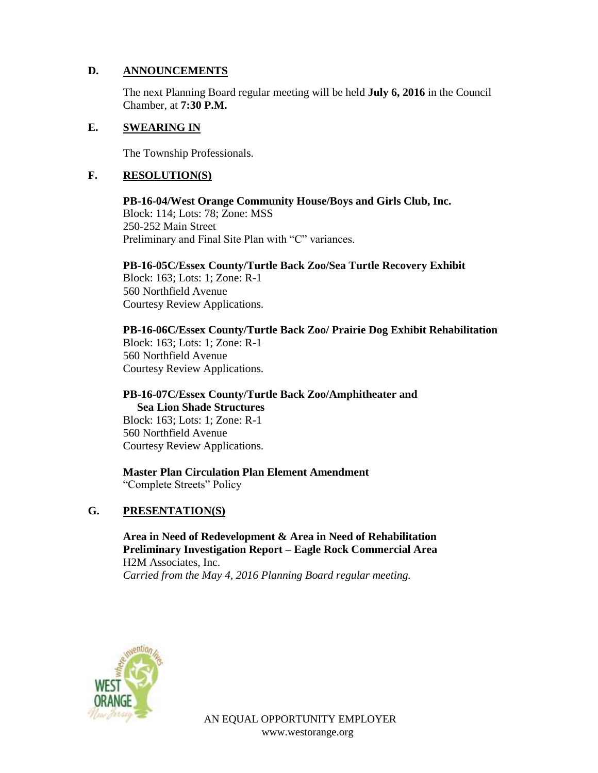#### **D. ANNOUNCEMENTS**

The next Planning Board regular meeting will be held **July 6, 2016** in the Council Chamber, at **7:30 P.M.**

#### **E. SWEARING IN**

The Township Professionals.

#### **F. RESOLUTION(S)**

**PB-16-04/West Orange Community House/Boys and Girls Club, Inc.** Block: 114; Lots: 78; Zone: MSS 250-252 Main Street Preliminary and Final Site Plan with "C" variances.

**PB-16-05C/Essex County/Turtle Back Zoo/Sea Turtle Recovery Exhibit**

Block: 163; Lots: 1; Zone: R-1 560 Northfield Avenue Courtesy Review Applications.

**PB-16-06C/Essex County/Turtle Back Zoo/ Prairie Dog Exhibit Rehabilitation** Block: 163; Lots: 1; Zone: R-1

560 Northfield Avenue Courtesy Review Applications.

## **PB-16-07C/Essex County/Turtle Back Zoo/Amphitheater and Sea Lion Shade Structures**

Block: 163; Lots: 1; Zone: R-1 560 Northfield Avenue Courtesy Review Applications.

**Master Plan Circulation Plan Element Amendment** "Complete Streets" Policy

### **G. PRESENTATION(S)**

**Area in Need of Redevelopment & Area in Need of Rehabilitation Preliminary Investigation Report – Eagle Rock Commercial Area** H2M Associates, Inc. *Carried from the May 4, 2016 Planning Board regular meeting.*